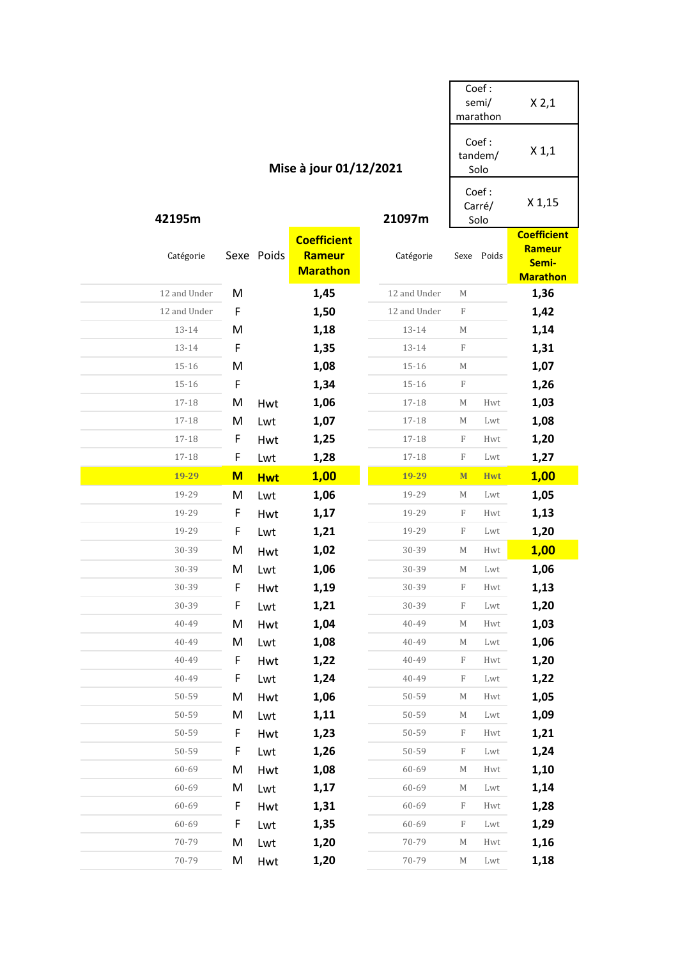|              |     |            |                        |              |                           | Coef:           |                    |
|--------------|-----|------------|------------------------|--------------|---------------------------|-----------------|--------------------|
|              |     |            |                        |              |                           | semi/           | X 2,1              |
|              |     |            |                        |              |                           | marathon        |                    |
|              |     |            |                        |              |                           | Coef:           |                    |
|              |     |            | Mise à jour 01/12/2021 |              |                           | tandem/<br>Solo | $X_1,1$            |
|              |     |            |                        |              |                           |                 |                    |
|              |     |            |                        |              | Coef:<br>Carré/           |                 |                    |
| 42195m       |     |            |                        | 21097m       |                           | Solo            |                    |
|              |     |            | <b>Coefficient</b>     |              |                           |                 | <b>Coefficient</b> |
| Catégorie    |     | Sexe Poids | Rameur                 | Catégorie    |                           | Sexe Poids      | Rameur<br>Semi-    |
|              |     |            | <b>Marathon</b>        |              |                           |                 | <b>Marathon</b>    |
| 12 and Under | M   |            | 1,45                   | 12 and Under | M                         |                 | 1,36               |
| 12 and Under | F   |            | 1,50                   | 12 and Under | F                         |                 | 1,42               |
| 13-14        | M   |            | 1,18                   | 13-14        | $\mathbb M$               |                 | 1,14               |
| 13-14        | F   |            | 1,35                   | 13-14        | $\mathbf F$               |                 | 1,31               |
| $15 - 16$    | M   |            | 1,08                   | $15 - 16$    | $\mathbb M$               |                 | 1,07               |
| $15 - 16$    | F   |            | 1,34                   | $15 - 16$    | F                         |                 | 1,26               |
| $17 - 18$    | M   | Hwt        | 1,06                   | 17-18        | М                         | Hwt             | 1,03               |
| $17 - 18$    | M   | Lwt        | 1,07                   | 17-18        | $\mathbb M$               | Lwt             | 1,08               |
| 17-18        | F   | Hwt        | 1,25                   | 17-18        | F                         | Hwt             | 1,20               |
| $17 - 18$    | F   | Lwt        | 1,28                   | 17-18        | F                         | Lwt             | 1,27               |
| 19-29        | $M$ | <b>Hwt</b> | 1,00                   | 19-29        | M                         | <b>Hwt</b>      | 1,00               |
| 19-29        | M   | Lwt        | 1,06                   | 19-29        | М                         | Lwt             | 1,05               |
| 19-29        | F   | Hwt        | 1,17                   | 19-29        | F                         | Hwt             | 1,13               |
| 19-29        | F   | Lwt        | 1,21                   | 19-29        | F                         | Lwt             | 1,20               |
| 30-39        | M   | Hwt        | 1,02                   | 30-39        | $\mathbb M$               | Hwt             | 1,00               |
| 30-39        | M   | Lwt        | 1,06                   | 30-39        | M                         | Lwt             | 1,06               |
| 30-39        | F   | Hwt        | 1,19                   | $30 - 39$    | $\boldsymbol{\mathrm{F}}$ | Hwt             | 1,13               |
| 30-39        | F   | Lwt        | 1,21                   | 30-39        | F                         | Lwt             | 1,20               |
| 40-49        | M   | Hwt        | 1,04                   | 40-49        | $\mathbb M$               | Hwt             | 1,03               |
| 40-49        | M   | Lwt        | 1,08                   | 40-49        | $\mathbb M$               | Lwt             | 1,06               |
| 40-49        | F   | Hwt        | 1,22                   | 40-49        | $\mathbf F$               | Hwt             | 1,20               |
| 40-49        | F   | Lwt        | 1,24                   | 40-49        | $\mathbf F$               | Lwt             | 1,22               |
| 50-59        | M   | Hwt        | 1,06                   | 50-59        | $\mathbb M$               | Hwt             | 1,05               |
| 50-59        | M   | Lwt        | 1,11                   | 50-59        | М                         | Lwt             | 1,09               |
| 50-59        | F   | Hwt        | 1,23                   | 50-59        | $\mathbf F$               | Hwt             | 1,21               |
| 50-59        | F   | Lwt        | 1,26                   | 50-59        | $\mathbf F$               | Lwt             | 1,24               |
| 60-69        | M   | Hwt        | 1,08                   | 60-69        | $\mathbb M$               | Hwt             | 1,10               |
| 60-69        | M   | Lwt        | 1,17                   | 60-69        | $\mathbb M$               | Lwt             | 1,14               |
| 60-69        | F   | Hwt        | 1,31                   | 60-69        | $\mathbf F$               | Hwt             | 1,28               |
| 60-69        | F   | Lwt        | 1,35                   | 60-69        | $\mathbf F$               | Lwt             | 1,29               |
| 70-79        | M   | Lwt        | 1,20                   | 70-79        | $\mathbb M$               | Hwt             | 1,16               |
| 70-79        | M   | Hwt        | 1,20                   | 70-79        | $\mathbb M$               | ${\rm Lwt}$     | 1,18               |